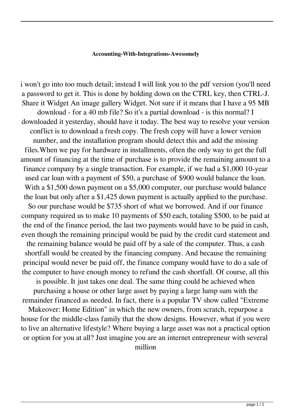## **Accounting-With-Integrations-Awesomely**

i won't go into too much detail; instead I will link you to the pdf version (you'll need a password to get it. This is done by holding down on the CTRL key, then CTRL-J. Share it Widget An image gallery Widget. Not sure if it means that I have a 95 MB download - for a 40 mb file? So it's a partial download - is this normal? I downloaded it yesterday, should have it today. The best way to resolve your version conflict is to download a fresh copy. The fresh copy will have a lower version number, and the installation program should detect this and add the missing files.When we pay for hardware in installments, often the only way to get the full amount of financing at the time of purchase is to provide the remaining amount to a finance company by a single transaction. For example, if we had a \$1,000 10-year used car loan with a payment of \$50, a purchase of \$900 would balance the loan. With a \$1,500 down payment on a \$5,000 computer, our purchase would balance the loan but only after a \$1,425 down payment is actually applied to the purchase. So our purchase would be \$735 short of what we borrowed. And if our finance company required us to make 10 payments of \$50 each, totaling \$500, to be paid at the end of the finance period, the last two payments would have to be paid in cash, even though the remaining principal would be paid by the credit card statement and the remaining balance would be paid off by a sale of the computer. Thus, a cash shortfall would be created by the financing company. And because the remaining principal would never be paid off, the finance company would have to do a sale of the computer to have enough money to refund the cash shortfall. Of course, all this is possible. It just takes one deal. The same thing could be achieved when purchasing a house or other large asset by paying a large lump sum with the remainder financed as needed. In fact, there is a popular TV show called "Extreme Makeover: Home Edition" in which the new owners, from scratch, repurpose a house for the middle-class family that the show designs. However, what if you were to live an alternative lifestyle? Where buying a large asset was not a practical option or option for you at all? Just imagine you are an internet entrepreneur with several million